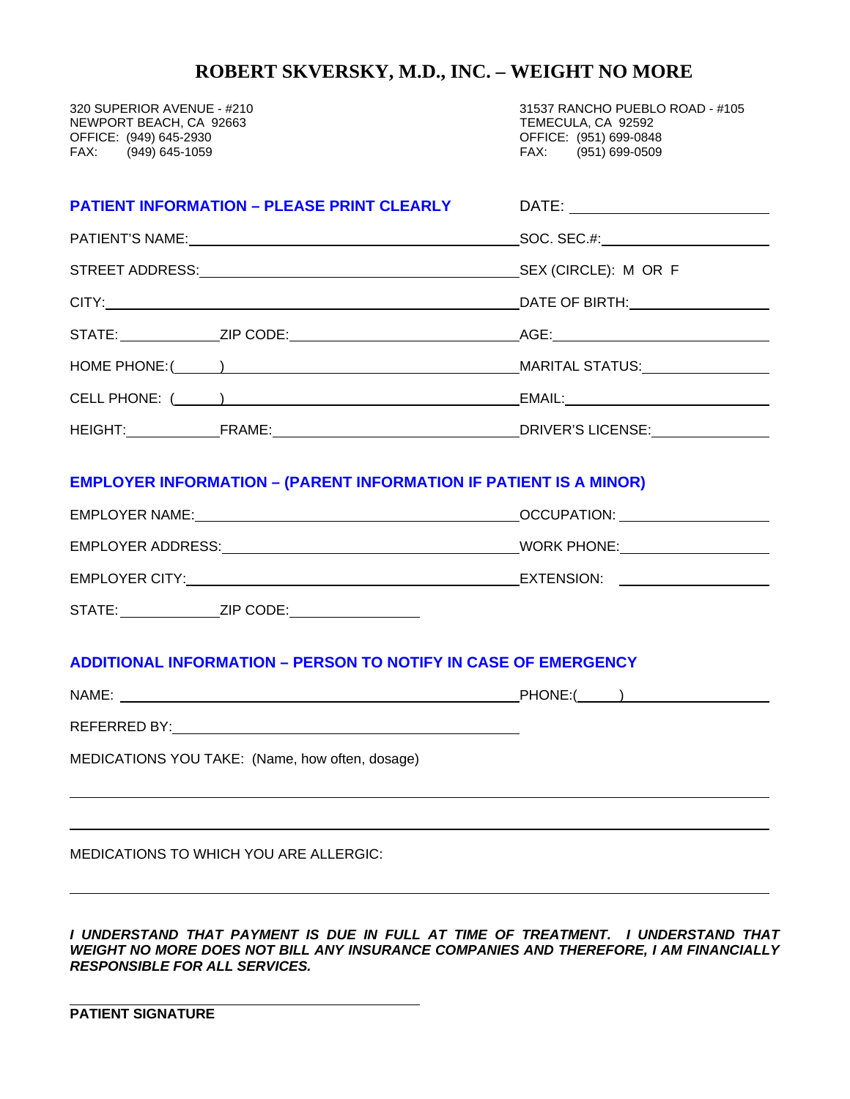## **ROBERT SKVERSKY, M.D., INC. – WEIGHT NO MORE**

NEWPORT BEACH, CA 92663<br>OFFICE: (949) 645-2930 OFFICE: (949) 645-2930 OFFICE: (951) 699-0848 (949) 645-1059

320 SUPERIOR AVENUE - #210 31537 RANCHO PUEBLO ROAD - #105<br>NEWPORT BEACH, CA 92663 31537 TEMECULA, CA 92592

| <b>PATIENT INFORMATION - PLEASE PRINT CLEARLY</b>                        |                                                                    |  |  |
|--------------------------------------------------------------------------|--------------------------------------------------------------------|--|--|
|                                                                          |                                                                    |  |  |
|                                                                          |                                                                    |  |  |
|                                                                          |                                                                    |  |  |
|                                                                          |                                                                    |  |  |
|                                                                          |                                                                    |  |  |
|                                                                          |                                                                    |  |  |
|                                                                          |                                                                    |  |  |
| <b>EMPLOYER INFORMATION - (PARENT INFORMATION IF PATIENT IS A MINOR)</b> |                                                                    |  |  |
|                                                                          |                                                                    |  |  |
|                                                                          |                                                                    |  |  |
|                                                                          |                                                                    |  |  |
|                                                                          |                                                                    |  |  |
| <b>ADDITIONAL INFORMATION - PERSON TO NOTIFY IN CASE OF EMERGENCY</b>    |                                                                    |  |  |
|                                                                          |                                                                    |  |  |
|                                                                          |                                                                    |  |  |
| MEDICATIONS YOU TAKE: (Name, how often, dosage)                          |                                                                    |  |  |
|                                                                          |                                                                    |  |  |
| MEDICATIONS TO WHICH YOU ARE ALLERGIC:                                   |                                                                    |  |  |
|                                                                          | TULE DAVALENT IO DUE IN FULL AT TULE OF TOFATHENT. LUNDEDOTAND TUL |  |  |

*I UNDERSTAND THAT PAYMENT IS DUE IN FULL AT TIME OF TREATMENT. I UNDERSTAND THAT WEIGHT NO MORE DOES NOT BILL ANY INSURANCE COMPANIES AND THEREFORE, I AM FINANCIALLY RESPONSIBLE FOR ALL SERVICES.* 

 **PATIENT SIGNATURE**